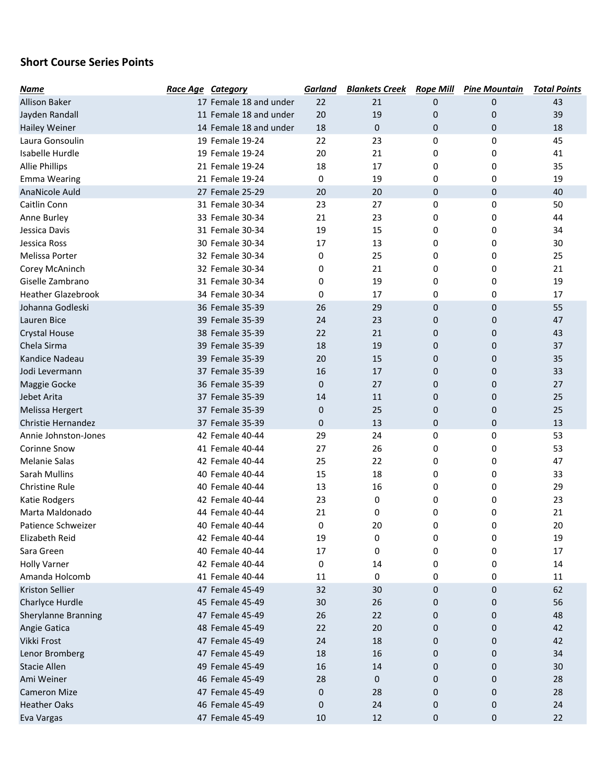## Short Course Series Points

| <b>Name</b>               | <b>Race Age Category</b> |                        | <b>Garland</b> | <b>Blankets Creek</b> | <b>Rope Mill</b> | <b>Pine Mountain</b> | <b>Total Points</b> |
|---------------------------|--------------------------|------------------------|----------------|-----------------------|------------------|----------------------|---------------------|
| <b>Allison Baker</b>      |                          | 17 Female 18 and under | 22             | 21                    | 0                | 0                    | 43                  |
| Jayden Randall            |                          | 11 Female 18 and under | 20             | 19                    | 0                | 0                    | 39                  |
| <b>Hailey Weiner</b>      |                          | 14 Female 18 and under | 18             | $\mathbf{0}$          | 0                | 0                    | 18                  |
| Laura Gonsoulin           |                          | 19 Female 19-24        | 22             | 23                    | 0                | 0                    | 45                  |
| Isabelle Hurdle           |                          | 19 Female 19-24        | 20             | 21                    | 0                | 0                    | 41                  |
| <b>Allie Phillips</b>     |                          | 21 Female 19-24        | 18             | 17                    | 0                | 0                    | 35                  |
| <b>Emma Wearing</b>       |                          | 21 Female 19-24        | 0              | 19                    | 0                | 0                    | 19                  |
| <b>AnaNicole Auld</b>     |                          | 27 Female 25-29        | 20             | 20                    | 0                | 0                    | 40                  |
| Caitlin Conn              |                          | 31 Female 30-34        | 23             | 27                    | 0                | 0                    | 50                  |
| Anne Burley               |                          | 33 Female 30-34        | 21             | 23                    | 0                | 0                    | 44                  |
| Jessica Davis             |                          | 31 Female 30-34        | 19             | 15                    | 0                | 0                    | 34                  |
| Jessica Ross              |                          | 30 Female 30-34        | 17             | 13                    | 0                | 0                    | 30                  |
| Melissa Porter            |                          | 32 Female 30-34        | 0              | 25                    | 0                | 0                    | 25                  |
| Corey McAninch            |                          | 32 Female 30-34        | 0              | 21                    | 0                | 0                    | 21                  |
| Giselle Zambrano          |                          | 31 Female 30-34        | 0              | 19                    | 0                | 0                    | 19                  |
| <b>Heather Glazebrook</b> |                          | 34 Female 30-34        | 0              | 17                    | 0                | 0                    | 17                  |
| Johanna Godleski          |                          | 36 Female 35-39        | 26             | 29                    | 0                | 0                    | 55                  |
| Lauren Bice               |                          | 39 Female 35-39        | 24             | 23                    | 0                | 0                    | 47                  |
| <b>Crystal House</b>      |                          | 38 Female 35-39        | 22             | 21                    | 0                | 0                    | 43                  |
| Chela Sirma               |                          | 39 Female 35-39        | 18             | 19                    | 0                | $\mathbf 0$          | 37                  |
| Kandice Nadeau            |                          | 39 Female 35-39        | 20             | 15                    | 0                | 0                    | 35                  |
| Jodi Levermann            |                          | 37 Female 35-39        | 16             | 17                    | 0                | 0                    | 33                  |
| Maggie Gocke              |                          | 36 Female 35-39        | $\mathbf{0}$   | 27                    | 0                | 0                    | 27                  |
| Jebet Arita               |                          | 37 Female 35-39        | 14             | 11                    | 0                | 0                    | 25                  |
| <b>Melissa Hergert</b>    |                          | 37 Female 35-39        | $\mathbf{0}$   | 25                    | 0                | 0                    | 25                  |
| Christie Hernandez        |                          | 37 Female 35-39        | 0              | 13                    | 0                | 0                    | 13                  |
| Annie Johnston-Jones      |                          | 42 Female 40-44        | 29             | 24                    | 0                | 0                    | 53                  |
| <b>Corinne Snow</b>       |                          | 41 Female 40-44        | 27             | 26                    | 0                | 0                    | 53                  |
| <b>Melanie Salas</b>      |                          | 42 Female 40-44        | 25             | 22                    | 0                | 0                    | 47                  |
| Sarah Mullins             |                          | 40 Female 40-44        | 15             | 18                    | 0                | 0                    | 33                  |
| Christine Rule            |                          | 40 Female 40-44        | 13             | 16                    | 0                | 0                    | 29                  |
| Katie Rodgers             |                          | 42 Female 40-44        | 23             | 0                     | 0                | 0                    | 23                  |
| Marta Maldonado           |                          | 44 Female 40-44        | 21             | 0                     | 0                | 0                    | 21                  |
| Patience Schweizer        |                          | 40 Female 40-44        | 0              | 20                    | 0                | 0                    | 20                  |
| Elizabeth Reid            |                          | 42 Female 40-44        | 19             | 0                     | 0                | 0                    | 19                  |
| Sara Green                |                          | 40 Female 40-44        | 17             | 0                     | 0                | 0                    | 17                  |
| <b>Holly Varner</b>       |                          | 42 Female 40-44        | 0              | 14                    | 0                | 0                    | 14                  |
| Amanda Holcomb            |                          | 41 Female 40-44        | 11             | 0                     | 0                | 0                    | 11                  |
| <b>Kriston Sellier</b>    |                          | 47 Female 45-49        | 32             | 30                    | 0                | 0                    | 62                  |
| Charlyce Hurdle           |                          | 45 Female 45-49        | 30             | 26                    | 0                | 0                    | 56                  |
| Sherylanne Branning       |                          | 47 Female 45-49        | 26             | 22                    | 0                | 0                    | 48                  |
| Angie Gatica              |                          | 48 Female 45-49        | 22             | 20                    | 0                | 0                    | 42                  |
| Vikki Frost               |                          | 47 Female 45-49        | 24             | 18                    | 0                | 0                    | 42                  |
| Lenor Bromberg            |                          | 47 Female 45-49        | 18             | 16                    | 0                | 0                    | 34                  |
| <b>Stacie Allen</b>       |                          | 49 Female 45-49        | 16             | 14                    | 0                | 0                    | 30                  |
| Ami Weiner                |                          | 46 Female 45-49        | 28             | 0                     | 0                | 0                    | 28                  |
| <b>Cameron Mize</b>       |                          | 47 Female 45-49        | 0              | 28                    | 0                | 0                    | 28                  |
| <b>Heather Oaks</b>       |                          | 46 Female 45-49        | 0              | 24                    | 0                | 0                    | 24                  |
| Eva Vargas                |                          | 47 Female 45-49        | 10             | 12                    | 0                | 0                    | 22                  |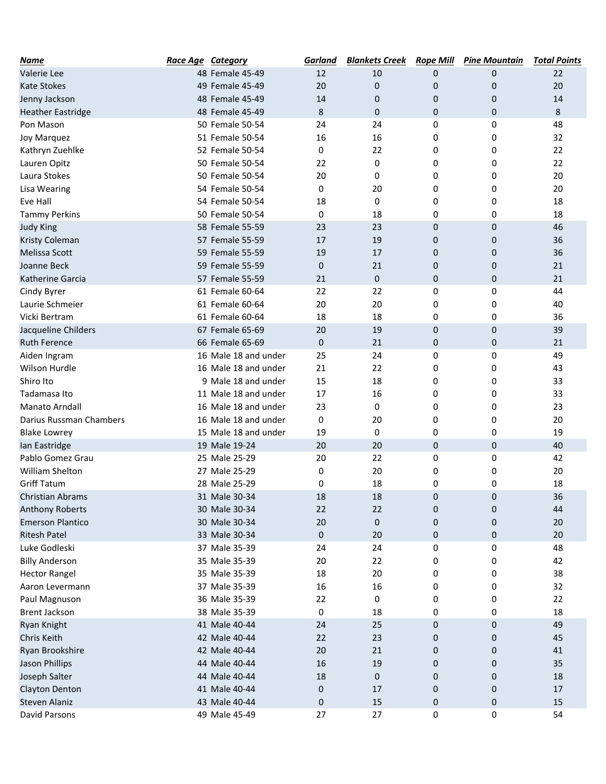| Name                     | <b>Race Age Category</b> | <b>Garland</b> | <b>Blankets Creek</b> | <b>Rope Mill</b> | <b>Pine Mountain</b> | <b>Total Points</b> |
|--------------------------|--------------------------|----------------|-----------------------|------------------|----------------------|---------------------|
| Valerie Lee              | 48 Female 45-49          | 12             | 10                    | 0                | 0                    | 22                  |
| <b>Kate Stokes</b>       | 49 Female 45-49          | 20             | 0                     | 0                | 0                    | 20                  |
| Jenny Jackson            | 48 Female 45-49          | 14             | 0                     | 0                | 0                    | 14                  |
| <b>Heather Eastridge</b> | 48 Female 45-49          | 8              | 0                     | 0                | 0                    | 8                   |
| Pon Mason                | 50 Female 50-54          | 24             | 24                    | 0                | 0                    | 48                  |
| <b>Joy Marquez</b>       | 51 Female 50-54          | 16             | 16                    | 0                | 0                    | 32                  |
| Kathryn Zuehlke          | 52 Female 50-54          | 0              | 22                    | 0                | 0                    | 22                  |
| Lauren Opitz             | 50 Female 50-54          | 22             | 0                     | 0                | 0                    | 22                  |
| Laura Stokes             | 50 Female 50-54          | 20             | 0                     | 0                | 0                    | 20                  |
| <b>Lisa Wearing</b>      | 54 Female 50-54          | 0              | 20                    | 0                | 0                    | 20                  |
| Eve Hall                 | 54 Female 50-54          | 18             | 0                     | 0                | 0                    | 18                  |
| <b>Tammy Perkins</b>     | 50 Female 50-54          | 0              | 18                    | 0                | 0                    | 18                  |
| <b>Judy King</b>         | 58 Female 55-59          | 23             | 23                    | 0                | 0                    | 46                  |
| Kristy Coleman           | 57 Female 55-59          | 17             | 19                    | 0                | 0                    | 36                  |
| <b>Melissa Scott</b>     | 59 Female 55-59          | 19             | 17                    | 0                | 0                    | 36                  |
| Joanne Beck              | 59 Female 55-59          | 0              | 21                    | 0                | 0                    | 21                  |
| Katherine Garcia         | 57 Female 55-59          | 21             | 0                     | 0                | 0                    | 21                  |
| Cindy Byrer              | 61 Female 60-64          | 22             | 22                    | 0                | 0                    | 44                  |
| Laurie Schmeier          | 61 Female 60-64          | 20             | 20                    | 0                | 0                    | 40                  |
| Vicki Bertram            | 61 Female 60-64          | 18             | 18                    | 0                | 0                    | 36                  |
| Jacqueline Childers      | 67 Female 65-69          | 20             | 19                    | 0                | 0                    | 39                  |
| <b>Ruth Ference</b>      | 66 Female 65-69          | 0              | 21                    | 0                | 0                    | 21                  |
| Aiden Ingram             | 16 Male 18 and under     | 25             | 24                    | 0                | 0                    | 49                  |
| Wilson Hurdle            | 16 Male 18 and under     | 21             | 22                    | 0                | 0                    | 43                  |
| Shiro Ito                | 9 Male 18 and under      | 15             | 18                    | 0                | 0                    | 33                  |
| Tadamasa Ito             | 11 Male 18 and under     | 17             | 16                    | 0                | 0                    | 33                  |
| <b>Manato Arndall</b>    | 16 Male 18 and under     | 23             | 0                     | 0                | 0                    | 23                  |
| Darius Russman Chambers  | 16 Male 18 and under     | 0              | 20                    | 0                | 0                    | 20                  |
| <b>Blake Lowrey</b>      | 15 Male 18 and under     | 19             | 0                     | 0                | 0                    | 19                  |
| Ian Eastridge            | 19 Male 19-24            | 20             | 20                    | 0                | 0                    | 40                  |
| Pablo Gomez Grau         | 25 Male 25-29            | 20             | 22                    | 0                | 0                    | 42                  |
| William Shelton          | 27 Male 25-29            | 0              | 20                    | 0                | 0                    | 20                  |
| <b>Griff Tatum</b>       | 28 Male 25-29            | 0              | 18                    | 0                | 0                    | 18                  |
| <b>Christian Abrams</b>  | 31 Male 30-34            | 18             | 18                    | 0                | 0                    | 36                  |
| <b>Anthony Roberts</b>   | 30 Male 30-34            | 22             | 22                    | 0                | 0                    | 44                  |
| <b>Emerson Plantico</b>  | 30 Male 30-34            | 20             | 0                     | 0                | 0                    | 20                  |
| <b>Ritesh Patel</b>      | 33 Male 30-34            | 0              | 20                    | 0                | 0                    | 20                  |
| Luke Godleski            | 37 Male 35-39            | 24             | 24                    | 0                | 0                    | 48                  |
| <b>Billy Anderson</b>    | 35 Male 35-39            | 20             | 22                    | 0                | 0                    | 42                  |
| <b>Hector Rangel</b>     | 35 Male 35-39            | 18             | 20                    | 0                | 0                    | 38                  |
| Aaron Levermann          | 37 Male 35-39            | 16             | 16                    | 0                | 0                    | 32                  |
| Paul Magnuson            | 36 Male 35-39            | 22             | 0                     | 0                | 0                    | 22                  |
| <b>Brent Jackson</b>     | 38 Male 35-39            | 0              | 18                    | 0                | 0                    | 18                  |
| Ryan Knight              | 41 Male 40-44            | 24             | 25                    | 0                | 0                    | 49                  |
| Chris Keith              | 42 Male 40-44            | 22             | 23                    | 0                | 0                    | 45                  |
| Ryan Brookshire          | 42 Male 40-44            | $20\,$         | 21                    | 0                | 0                    | 41                  |
| <b>Jason Phillips</b>    | 44 Male 40-44            | 16             | 19                    | 0                | 0                    | 35                  |
| Joseph Salter            | 44 Male 40-44            | 18             | 0                     | 0                | 0                    | 18                  |
| Clayton Denton           | 41 Male 40-44            | 0              | 17                    | 0                | 0                    | 17                  |
| Steven Alaniz            | 43 Male 40-44            | 0              | 15                    | 0                | 0                    | 15                  |
| David Parsons            | 49 Male 45-49            | 27             | 27                    | 0                | 0                    | 54                  |